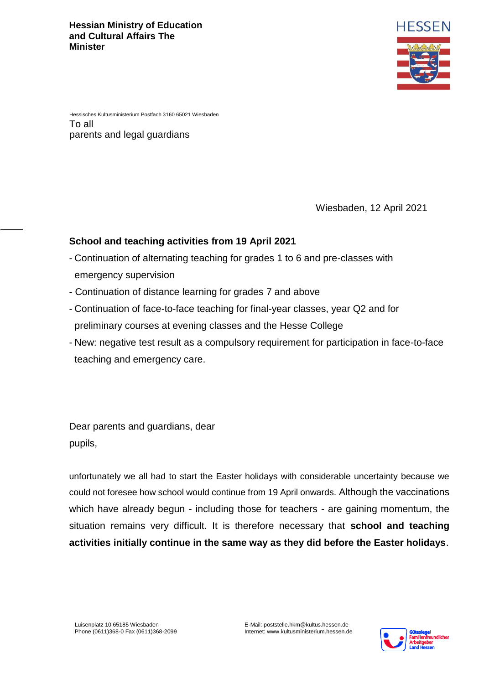

Hessisches Kultusministerium Postfach 3160 65021 Wiesbaden To all parents and legal guardians

Wiesbaden, 12 April 2021

## **School and teaching activities from 19 April 2021**

- Continuation of alternating teaching for grades 1 to 6 and pre-classes with emergency supervision
- Continuation of distance learning for grades 7 and above
- Continuation of face-to-face teaching for final-year classes, year Q2 and for preliminary courses at evening classes and the Hesse College
- New: negative test result as a compulsory requirement for participation in face-to-face teaching and emergency care.

Dear parents and guardians, dear pupils,

unfortunately we all had to start the Easter holidays with considerable uncertainty because we could not foresee how school would continue from 19 April onwards. Although the vaccinations which have already begun - including those for teachers - are gaining momentum, the situation remains very difficult. It is therefore necessary that **school and teaching activities initially continue in the same way as they did before the Easter holidays**.

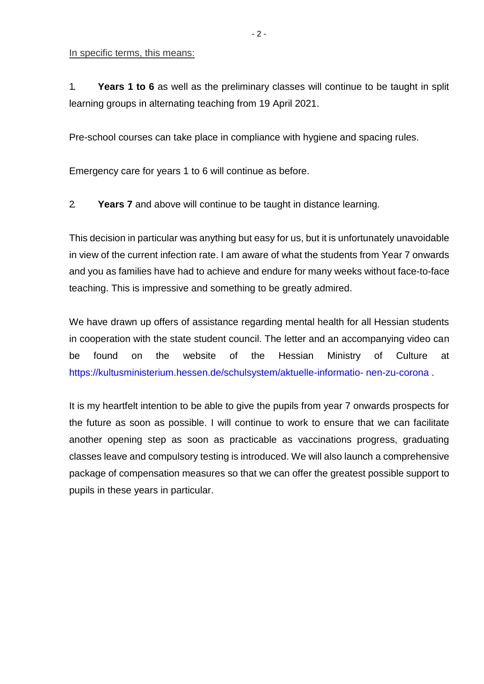In specific terms, this means:

1. **Years 1 to 6** as well as the preliminary classes will continue to be taught in split learning groups in alternating teaching from 19 April 2021.

Pre-school courses can take place in compliance with hygiene and spacing rules.

Emergency care for years 1 to 6 will continue as before.

2. **Years 7** and above will continue to be taught in distance learning.

This decision in particular was anything but easy for us, but it is unfortunately unavoidable in view of the current infection rate. I am aware of what the students from Year 7 onwards and you as families have had to achieve and endure for many weeks without face-to-face teaching. This is impressive and something to be greatly admired.

We have drawn up offers of assistance regarding mental health for all Hessian students in cooperation with the state student council. The letter and an accompanying video can be found on the website of the Hessian Ministry of Culture at [https://kultusministerium.hessen.de/schulsystem/aktuelle-informatio-](https://kultusministerium.hessen.de/schulsystem/aktuelle-informationen-zu-corona) [nen-zu-corona .](https://kultusministerium.hessen.de/schulsystem/aktuelle-informationen-zu-corona)

It is my heartfelt intention to be able to give the pupils from year 7 onwards prospects for the future as soon as possible. I will continue to work to ensure that we can facilitate another opening step as soon as practicable as vaccinations progress, graduating classes leave and compulsory testing is introduced. We will also launch a comprehensive package of compensation measures so that we can offer the greatest possible support to pupils in these years in particular.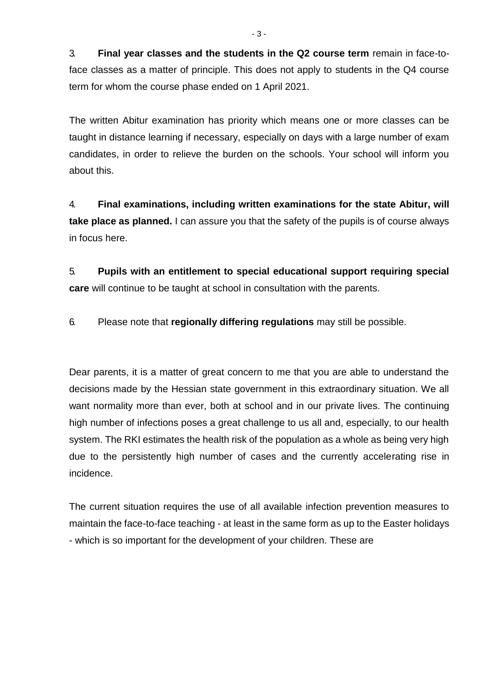3. **Final year classes and the students in the Q2 course term** remain in face-toface classes as a matter of principle. This does not apply to students in the Q4 course term for whom the course phase ended on 1 April 2021.

The written Abitur examination has priority which means one or more classes can be taught in distance learning if necessary, especially on days with a large number of exam candidates, in order to relieve the burden on the schools. Your school will inform you about this.

4. **Final examinations, including written examinations for the state Abitur, will take place as planned.** I can assure you that the safety of the pupils is of course always in focus here.

5. **Pupils with an entitlement to special educational support requiring special care** will continue to be taught at school in consultation with the parents.

6. Please note that **regionally differing regulations** may still be possible.

Dear parents, it is a matter of great concern to me that you are able to understand the decisions made by the Hessian state government in this extraordinary situation. We all want normality more than ever, both at school and in our private lives. The continuing high number of infections poses a great challenge to us all and, especially, to our health system. The RKI estimates the health risk of the population as a whole as being very high due to the persistently high number of cases and the currently accelerating rise in incidence.

The current situation requires the use of all available infection prevention measures to maintain the face-to-face teaching - at least in the same form as up to the Easter holidays - which is so important for the development of your children. These are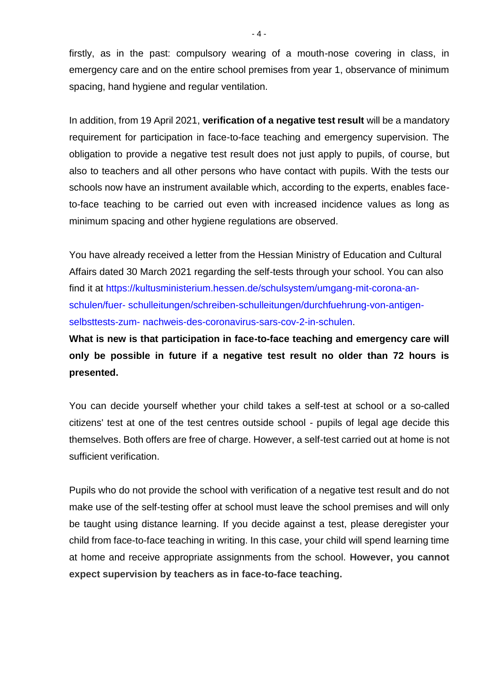firstly, as in the past: compulsory wearing of a mouth-nose covering in class, in emergency care and on the entire school premises from year 1, observance of minimum spacing, hand hygiene and regular ventilation.

In addition, from 19 April 2021, **verification of a negative test result** will be a mandatory requirement for participation in face-to-face teaching and emergency supervision. The obligation to provide a negative test result does not just apply to pupils, of course, but also to teachers and all other persons who have contact with pupils. With the tests our schools now have an instrument available which, according to the experts, enables faceto-face teaching to be carried out even with increased incidence values as long as minimum spacing and other hygiene regulations are observed.

You have already received a letter from the Hessian Ministry of Education and Cultural Affairs dated 30 March 2021 regarding the self-tests through your school. You can also find it at [https://kultusministerium.hessen.de/schulsystem/umgang-mit-corona-an](https://kultusministerium.hessen.de/schulsystem/umgang-mit-corona-an-schulen/fuer-schulleitungen/schreiben-schulleitungen/durchfuehrung-von-antigen-selbsttests-zum-nachweis-des-coronavirus-sars-cov-2-in-schulen)[schulen/fuer-](https://kultusministerium.hessen.de/schulsystem/umgang-mit-corona-an-schulen/fuer-schulleitungen/schreiben-schulleitungen/durchfuehrung-von-antigen-selbsttests-zum-nachweis-des-coronavirus-sars-cov-2-in-schulen) [schulleitungen/schreiben-schulleitungen/durchfuehrung-von-antigen](https://kultusministerium.hessen.de/schulsystem/umgang-mit-corona-an-schulen/fuer-schulleitungen/schreiben-schulleitungen/durchfuehrung-von-antigen-selbsttests-zum-nachweis-des-coronavirus-sars-cov-2-in-schulen)[selbsttests-zum-](https://kultusministerium.hessen.de/schulsystem/umgang-mit-corona-an-schulen/fuer-schulleitungen/schreiben-schulleitungen/durchfuehrung-von-antigen-selbsttests-zum-nachweis-des-coronavirus-sars-cov-2-in-schulen) [nachweis-des-coronavirus-sars-cov-2-in-schulen.](https://kultusministerium.hessen.de/schulsystem/umgang-mit-corona-an-schulen/fuer-schulleitungen/schreiben-schulleitungen/durchfuehrung-von-antigen-selbsttests-zum-nachweis-des-coronavirus-sars-cov-2-in-schulen)

**What is new is that participation in face-to-face teaching and emergency care will only be possible in future if a negative test result no older than 72 hours is presented.**

You can decide yourself whether your child takes a self-test at school or a so-called citizens' test at one of the test centres outside school - pupils of legal age decide this themselves. Both offers are free of charge. However, a self-test carried out at home is not sufficient verification.

Pupils who do not provide the school with verification of a negative test result and do not make use of the self-testing offer at school must leave the school premises and will only be taught using distance learning. If you decide against a test, please deregister your child from face-to-face teaching in writing. In this case, your child will spend learning time at home and receive appropriate assignments from the school. **However, you cannot expect supervision by teachers as in face-to-face teaching.**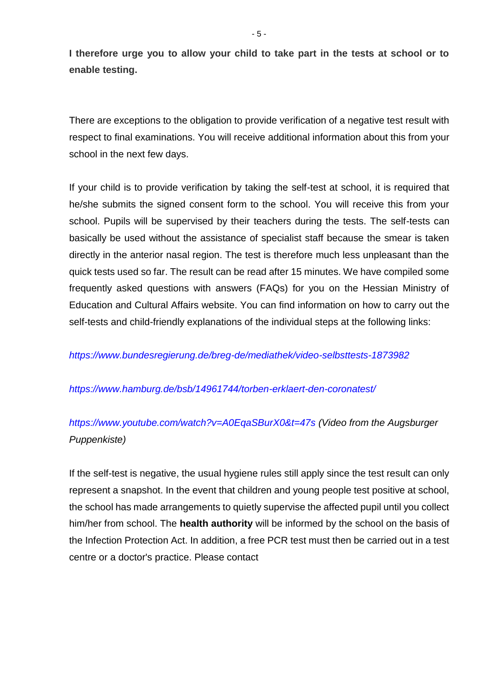**I therefore urge you to allow your child to take part in the tests at school or to enable testing.**

There are exceptions to the obligation to provide verification of a negative test result with respect to final examinations. You will receive additional information about this from your school in the next few days.

If your child is to provide verification by taking the self-test at school, it is required that he/she submits the signed consent form to the school. You will receive this from your school. Pupils will be supervised by their teachers during the tests. The self-tests can basically be used without the assistance of specialist staff because the smear is taken directly in the anterior nasal region. The test is therefore much less unpleasant than the quick tests used so far. The result can be read after 15 minutes. We have compiled some frequently asked questions with answers (FAQs) for you on the Hessian Ministry of Education and Cultural Affairs website. You can find information on how to carry out the self-tests and child-friendly explanations of the individual steps at the following links:

## *<https://www.bundesregierung.de/breg-de/mediathek/video-selbsttests-1873982>*

## *<https://www.hamburg.de/bsb/14961744/torben-erklaert-den-coronatest/>*

## *[https://www.youtube.com/watch?v=A0EqaSBurX0&t=47s \(](https://www.youtube.com/watch?v=A0EqaSBurX0&t=47s)Video from the Augsburger Puppenkiste)*

If the self-test is negative, the usual hygiene rules still apply since the test result can only represent a snapshot. In the event that children and young people test positive at school, the school has made arrangements to quietly supervise the affected pupil until you collect him/her from school. The **health authority** will be informed by the school on the basis of the Infection Protection Act. In addition, a free PCR test must then be carried out in a test centre or a doctor's practice. Please contact